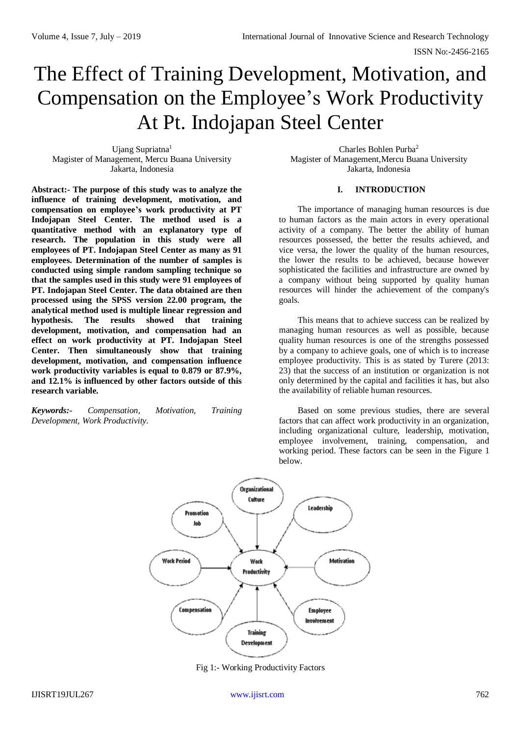# The Effect of Training Development, Motivation, and Compensation on the Employee's Work Productivity At Pt. Indojapan Steel Center

Ujang Supriatna<sup>1</sup> Magister of Management, Mercu Buana University Jakarta, Indonesia

**Abstract:- The purpose of this study was to analyze the influence of training development, motivation, and compensation on employee's work productivity at PT Indojapan Steel Center. The method used is a quantitative method with an explanatory type of research. The population in this study were all employees of PT. Indojapan Steel Center as many as 91 employees. Determination of the number of samples is conducted using simple random sampling technique so that the samples used in this study were 91 employees of PT. Indojapan Steel Center. The data obtained are then processed using the SPSS version 22.00 program, the analytical method used is multiple linear regression and hypothesis. The results showed that training development, motivation, and compensation had an effect on work productivity at PT. Indojapan Steel Center. Then simultaneously show that training development, motivation, and compensation influence work productivity variables is equal to 0.879 or 87.9%, and 12.1% is influenced by other factors outside of this research variable.**

*Keywords:- Compensation, Motivation, Training Development, Work Productivity.*

Charles Bohlen Purba<sup>2</sup> Magister of Management,Mercu Buana University Jakarta, Indonesia

# **I. INTRODUCTION**

The importance of managing human resources is due to human factors as the main actors in every operational activity of a company. The better the ability of human resources possessed, the better the results achieved, and vice versa, the lower the quality of the human resources, the lower the results to be achieved, because however sophisticated the facilities and infrastructure are owned by a company without being supported by quality human resources will hinder the achievement of the company's goals.

This means that to achieve success can be realized by managing human resources as well as possible, because quality human resources is one of the strengths possessed by a company to achieve goals, one of which is to increase employee productivity. This is as stated by Turere (2013: 23) that the success of an institution or organization is not only determined by the capital and facilities it has, but also the availability of reliable human resources.

Based on some previous studies, there are several factors that can affect work productivity in an organization, including organizational culture, leadership, motivation, employee involvement, training, compensation, and working period. These factors can be seen in the Figure 1 below.



Fig 1:- Working Productivity Factors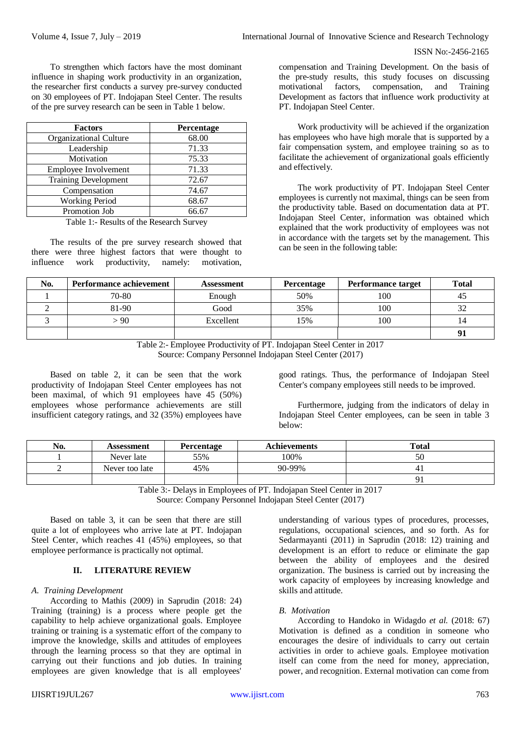To strengthen which factors have the most dominant influence in shaping work productivity in an organization, the researcher first conducts a survey pre-survey conducted on 30 employees of PT. Indojapan Steel Center. The results of the pre survey research can be seen in Table 1 below.

| <b>Factors</b>              | Percentage |
|-----------------------------|------------|
| Organizational Culture      | 68.00      |
| Leadership                  | 71.33      |
| Motivation                  | 75.33      |
| Employee Involvement        | 71.33      |
| <b>Training Development</b> | 72.67      |
| Compensation                | 74.67      |
| <b>Working Period</b>       | 68.67      |
| Promotion Job               | 66.67      |

Table 1:- Results of the Research Survey

The results of the pre survey research showed that there were three highest factors that were thought to influence work productivity, namely: motivation,

compensation and Training Development. On the basis of the pre-study results, this study focuses on discussing motivational factors, compensation, and Training Development as factors that influence work productivity at PT. Indojapan Steel Center.

Work productivity will be achieved if the organization has employees who have high morale that is supported by a fair compensation system, and employee training so as to facilitate the achievement of organizational goals efficiently and effectively.

The work productivity of PT. Indojapan Steel Center employees is currently not maximal, things can be seen from the productivity table. Based on documentation data at PT. Indojapan Steel Center, information was obtained which explained that the work productivity of employees was not in accordance with the targets set by the management. This can be seen in the following table:

| No. | <b>Performance achievement</b> | Assessment | <b>Percentage</b> | <b>Performance target</b> | <b>Total</b> |
|-----|--------------------------------|------------|-------------------|---------------------------|--------------|
|     | 70-80                          | Enough     | 50%               | 100                       | 45           |
|     | 81-90                          | Good       | 35%               | 100                       | 32           |
|     | - 90                           | Excellent  | 15%               | 100                       | 14           |
|     |                                |            |                   |                           | 91           |

Table 2:- Employee Productivity of PT. Indojapan Steel Center in 2017 Source: Company Personnel Indojapan Steel Center (2017)

Based on table 2, it can be seen that the work productivity of Indojapan Steel Center employees has not been maximal, of which 91 employees have 45 (50%) employees whose performance achievements are still insufficient category ratings, and 32 (35%) employees have good ratings. Thus, the performance of Indojapan Steel Center's company employees still needs to be improved.

Furthermore, judging from the indicators of delay in Indojapan Steel Center employees, can be seen in table 3 below:

| No. | Assessment     | Percentage | <b>Achievements</b> | <b>Total</b> |
|-----|----------------|------------|---------------------|--------------|
|     | Never late     | 55%        | 100%                | ЭU           |
|     | Never too late | 45%        | 90-99%              |              |
|     |                |            |                     |              |

Table 3:- Delays in Employees of PT. Indojapan Steel Center in 2017

Source: Company Personnel Indojapan Steel Center (2017)

Based on table 3, it can be seen that there are still quite a lot of employees who arrive late at PT. Indojapan Steel Center, which reaches 41 (45%) employees, so that employee performance is practically not optimal.

# **II. LITERATURE REVIEW**

# *A. Training Development*

According to Mathis (2009) in Saprudin (2018: 24) Training (training) is a process where people get the capability to help achieve organizational goals. Employee training or training is a systematic effort of the company to improve the knowledge, skills and attitudes of employees through the learning process so that they are optimal in carrying out their functions and job duties. In training employees are given knowledge that is all employees'

understanding of various types of procedures, processes, regulations, occupational sciences, and so forth. As for Sedarmayanti (2011) in Saprudin (2018: 12) training and development is an effort to reduce or eliminate the gap between the ability of employees and the desired organization. The business is carried out by increasing the work capacity of employees by increasing knowledge and skills and attitude.

# *B. Motivation*

According to Handoko in Widagdo *et al.* (2018: 67) Motivation is defined as a condition in someone who encourages the desire of individuals to carry out certain activities in order to achieve goals. Employee motivation itself can come from the need for money, appreciation, power, and recognition. External motivation can come from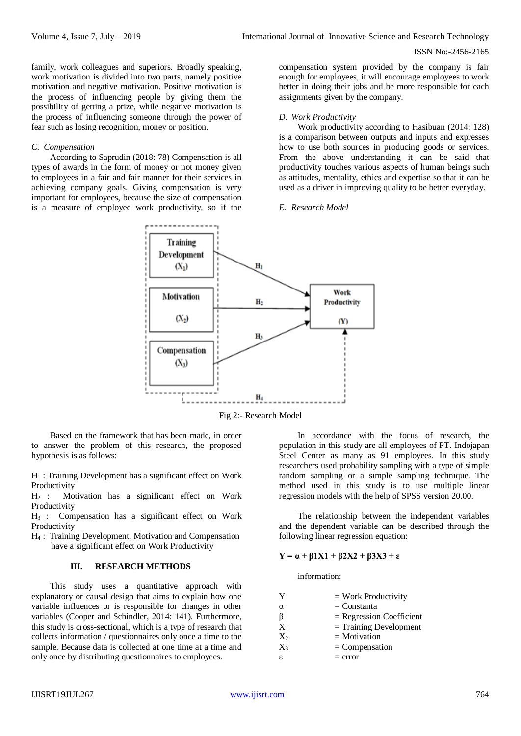family, work colleagues and superiors. Broadly speaking, work motivation is divided into two parts, namely positive motivation and negative motivation. Positive motivation is the process of influencing people by giving them the possibility of getting a prize, while negative motivation is the process of influencing someone through the power of fear such as losing recognition, money or position.

#### *C. Compensation*

According to Saprudin (2018: 78) Compensation is all types of awards in the form of money or not money given to employees in a fair and fair manner for their services in achieving company goals. Giving compensation is very important for employees, because the size of compensation is a measure of employee work productivity, so if the compensation system provided by the company is fair enough for employees, it will encourage employees to work better in doing their jobs and be more responsible for each assignments given by the company.

#### *D. Work Productivity*

Work productivity according to Hasibuan (2014: 128) is a comparison between outputs and inputs and expresses how to use both sources in producing goods or services. From the above understanding it can be said that productivity touches various aspects of human beings such as attitudes, mentality, ethics and expertise so that it can be used as a driver in improving quality to be better everyday.

# *E. Research Model*



Fig 2:- Research Model

Based on the framework that has been made, in order to answer the problem of this research, the proposed hypothesis is as follows:

 $H_1$ : Training Development has a significant effect on Work Productivity

H<sup>2</sup> : Motivation has a significant effect on Work Productivity

H<sup>3</sup> : Compensation has a significant effect on Work Productivity

H<sup>4</sup> : Training Development, Motivation and Compensation have a significant effect on Work Productivity

#### **III. RESEARCH METHODS**

This study uses a quantitative approach with explanatory or causal design that aims to explain how one variable influences or is responsible for changes in other variables (Cooper and Schindler, 2014: 141). Furthermore, this study is cross-sectional, which is a type of research that collects information / questionnaires only once a time to the sample. Because data is collected at one time at a time and only once by distributing questionnaires to employees.

In accordance with the focus of research, the population in this study are all employees of PT. Indojapan Steel Center as many as 91 employees. In this study researchers used probability sampling with a type of simple random sampling or a simple sampling technique. The method used in this study is to use multiple linear regression models with the help of SPSS version 20.00.

The relationship between the independent variables and the dependent variable can be described through the following linear regression equation:

# **Y = α + β1X1 + β2X2 + β3X3 + ε**

information:

| Y     | $=$ Work Productivity      |
|-------|----------------------------|
| α     | $=$ Constanta              |
| β     | $=$ Regression Coefficient |
| $X_1$ | $=$ Training Development   |
| $X_2$ | $=$ Motivation             |
| $X_3$ | $=$ Compensation           |
| ε.    | $=$ error                  |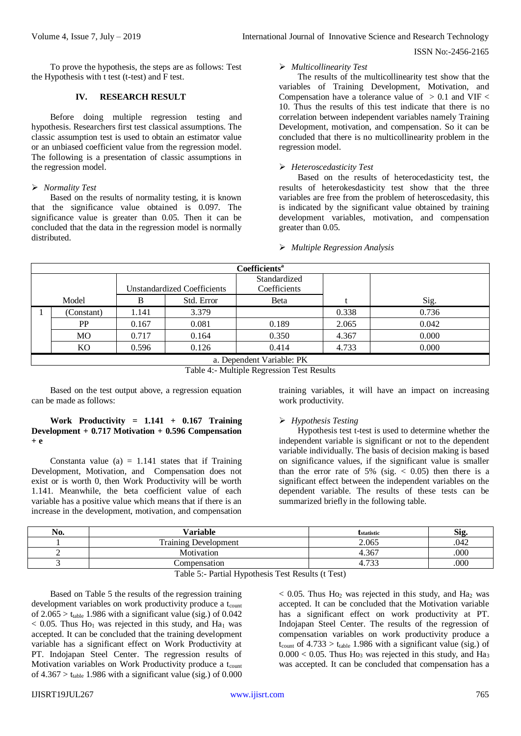To prove the hypothesis, the steps are as follows: Test the Hypothesis with t test (t-test) and F test.

## **IV. RESEARCH RESULT**

Before doing multiple regression testing and hypothesis. Researchers first test classical assumptions. The classic assumption test is used to obtain an estimator value or an unbiased coefficient value from the regression model. The following is a presentation of classic assumptions in the regression model.

#### *Normality Test*

Based on the results of normality testing, it is known that the significance value obtained is 0.097. The significance value is greater than 0.05. Then it can be concluded that the data in the regression model is normally distributed.

# *Multicollinearity Test*

The results of the multicollinearity test show that the variables of Training Development, Motivation, and Compensation have a tolerance value of  $> 0.1$  and VIF  $<$ 10. Thus the results of this test indicate that there is no correlation between independent variables namely Training Development, motivation, and compensation. So it can be concluded that there is no multicollinearity problem in the regression model.

# *Heteroscedasticity Test*

Based on the results of heterocedasticity test, the results of heterokesdasticity test show that the three variables are free from the problem of heteroscedasity, this is indicated by the significant value obtained by training development variables, motivation, and compensation greater than 0.05.

#### *Multiple Regression Analysis*

|                                    | <b>Coefficients</b> <sup>a</sup> |                              |            |       |       |       |  |  |
|------------------------------------|----------------------------------|------------------------------|------------|-------|-------|-------|--|--|
| <b>Unstandardized Coefficients</b> |                                  | Standardized<br>Coefficients |            |       |       |       |  |  |
|                                    | Model                            | в                            | Std. Error | Beta  |       | Sig.  |  |  |
|                                    | (Constant)                       | 1.141                        | 3.379      |       | 0.338 | 0.736 |  |  |
|                                    | PP                               | 0.167                        | 0.081      | 0.189 | 2.065 | 0.042 |  |  |
|                                    | <b>MO</b>                        | 0.717                        | 0.164      | 0.350 | 4.367 | 0.000 |  |  |
|                                    | KO                               | 0.596                        | 0.126      | 0.414 | 4.733 | 0.000 |  |  |
|                                    | a. Dependent Variable: PK        |                              |            |       |       |       |  |  |

Table 4:- Multiple Regression Test Results

Based on the test output above, a regression equation can be made as follows:

# **Work Productivity = 1.141 + 0.167 Training Development + 0.717 Motivation + 0.596 Compensation + e**

Constanta value (a)  $= 1.141$  states that if Training Development, Motivation, and Compensation does not exist or is worth 0, then Work Productivity will be worth 1.141. Meanwhile, the beta coefficient value of each variable has a positive value which means that if there is an increase in the development, motivation, and compensation training variables, it will have an impact on increasing work productivity.

# *Hypothesis Testing*

Hypothesis test t-test is used to determine whether the independent variable is significant or not to the dependent variable individually. The basis of decision making is based on significance values, if the significant value is smaller than the error rate of 5% (sig.  $< 0.05$ ) then there is a significant effect between the independent variables on the dependent variable. The results of these tests can be summarized briefly in the following table.

| No. | Variable                                                                                                        | <i><b>Estatistic</b></i>                                                                                                                               | r.<br>Si2 |
|-----|-----------------------------------------------------------------------------------------------------------------|--------------------------------------------------------------------------------------------------------------------------------------------------------|-----------|
|     | <b>Training Development</b>                                                                                     | 2.065                                                                                                                                                  | .042      |
|     | Motivation                                                                                                      | 4.367                                                                                                                                                  | .000      |
|     | Compensation                                                                                                    | 722<br>د:<br>т.,                                                                                                                                       | 000       |
|     | the contract of the contract of the contract of the contract of the contract of the contract of the contract of | the contract of the contract of the contract of the contract of the contract of the contract of the contract of<br>the contract of the contract of the |           |

Table 5:- Partial Hypothesis Test Results (t Test)

Based on Table 5 the results of the regression training development variables on work productivity produce a t<sub>count</sub> of  $2.065 > t_{table}$  1.986 with a significant value (sig.) of 0.042  $< 0.05$ . Thus Ho<sub>1</sub> was rejected in this study, and Ha<sub>1</sub> was accepted. It can be concluded that the training development variable has a significant effect on Work Productivity at PT. Indojapan Steel Center. The regression results of Motivation variables on Work Productivity produce a t<sub>count</sub> of  $4.367 > t_{table}$  1.986 with a significant value (sig.) of 0.000

 $< 0.05$ . Thus Ho<sub>2</sub> was rejected in this study, and Ha<sub>2</sub> was accepted. It can be concluded that the Motivation variable has a significant effect on work productivity at PT. Indojapan Steel Center. The results of the regression of compensation variables on work productivity produce a  $t_{\text{count}}$  of 4.733 >  $t_{\text{table}}$  1.986 with a significant value (sig.) of  $0.000 < 0.05$ . Thus Ho<sub>3</sub> was rejected in this study, and Ha<sub>3</sub> was accepted. It can be concluded that compensation has a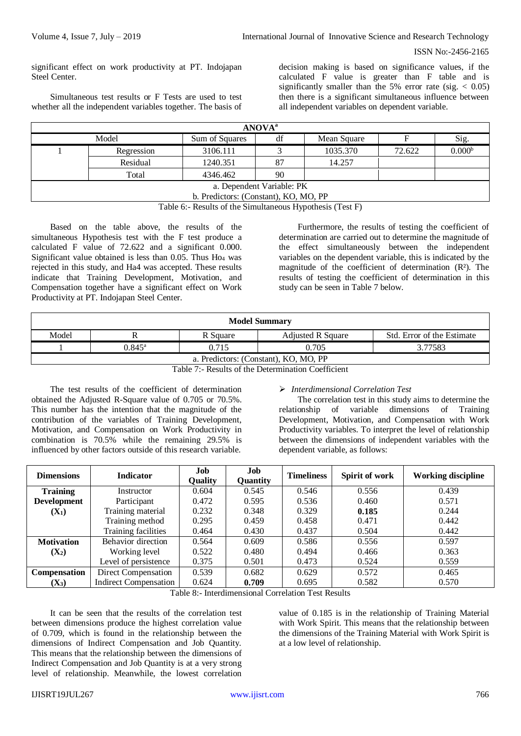significant effect on work productivity at PT. Indojapan Steel Center.

Simultaneous test results or F Tests are used to test whether all the independent variables together. The basis of decision making is based on significance values, if the calculated F value is greater than F table and is significantly smaller than the 5% error rate (sig.  $< 0.05$ ) then there is a significant simultaneous influence between all independent variables on dependent variable.

| <b>ANOVA</b> <sup>a</sup>                    |            |          |    |          |        |                    |  |
|----------------------------------------------|------------|----------|----|----------|--------|--------------------|--|
| Model<br>df<br>Sum of Squares<br>Mean Square |            |          |    |          |        | Sig.               |  |
|                                              | Regression | 3106.111 |    | 1035.370 | 72.622 | 0.000 <sup>b</sup> |  |
| Residual                                     |            | 1240.351 | 87 | 14.257   |        |                    |  |
| Total<br>4346.462<br>90                      |            |          |    |          |        |                    |  |
| a. Dependent Variable: PK                    |            |          |    |          |        |                    |  |
| b. Predictors: (Constant), KO, MO, PP        |            |          |    |          |        |                    |  |

Table 6:- Results of the Simultaneous Hypothesis (Test F)

Based on the table above, the results of the simultaneous Hypothesis test with the F test produce a calculated F value of 72.622 and a significant 0.000. Significant value obtained is less than  $0.05$ . Thus  $Ho<sub>4</sub>$  was rejected in this study, and Ha4 was accepted. These results indicate that Training Development, Motivation, and Compensation together have a significant effect on Work Productivity at PT. Indojapan Steel Center.

Furthermore, the results of testing the coefficient of determination are carried out to determine the magnitude of the effect simultaneously between the independent variables on the dependent variable, this is indicated by the magnitude of the coefficient of determination (R²). The results of testing the coefficient of determination in this study can be seen in Table 7 below.

| <b>Model Summary</b>                                                        |  |  |  |  |  |  |
|-----------------------------------------------------------------------------|--|--|--|--|--|--|
| Model<br><b>Adjusted R Square</b><br>Std. Error of the Estimate<br>R Square |  |  |  |  |  |  |
| 0.705<br>3.77583<br>$0.845^{\rm a}$<br>0.715                                |  |  |  |  |  |  |
| a. Predictors: (Constant), KO, MO, PP                                       |  |  |  |  |  |  |

Table 7:- Results of the Determination Coefficient

The test results of the coefficient of determination obtained the Adjusted R-Square value of 0.705 or 70.5%. This number has the intention that the magnitude of the contribution of the variables of Training Development, Motivation, and Compensation on Work Productivity in combination is 70.5% while the remaining 29.5% is influenced by other factors outside of this research variable.

# *Interdimensional Correlation Test*

The correlation test in this study aims to determine the relationship of variable dimensions of Training Development, Motivation, and Compensation with Work Productivity variables. To interpret the level of relationship between the dimensions of independent variables with the dependent variable, as follows:

| <b>Dimensions</b>  | <b>Indicator</b>             | Job<br>Quality | Job<br>Quantity | <b>Timeliness</b> | Spirit of work | <b>Working discipline</b> |
|--------------------|------------------------------|----------------|-----------------|-------------------|----------------|---------------------------|
| <b>Training</b>    | Instructor                   | 0.604          | 0.545           | 0.546             | 0.556          | 0.439                     |
| <b>Development</b> | Participant                  | 0.472          | 0.595           | 0.536             | 0.460          | 0.571                     |
| $(X_1)$            | Training material            | 0.232          | 0.348           | 0.329             | 0.185          | 0.244                     |
|                    | Training method              | 0.295          | 0.459           | 0.458             | 0.471          | 0.442                     |
|                    | Training facilities          | 0.464          | 0.430           | 0.437             | 0.504          | 0.442                     |
| <b>Motivation</b>  | Behavior direction           | 0.564          | 0.609           | 0.586             | 0.556          | 0.597                     |
| $(X_2)$            | Working level                | 0.522          | 0.480           | 0.494             | 0.466          | 0.363                     |
|                    | Level of persistence         | 0.375          | 0.501           | 0.473             | 0.524          | 0.559                     |
| Compensation       | Direct Compensation          | 0.539          | 0.682           | 0.629             | 0.572          | 0.465                     |
| $(X_3)$            | <b>Indirect Compensation</b> | 0.624          | 0.709           | 0.695             | 0.582          | 0.570                     |

Table 8:- Interdimensional Correlation Test Results

It can be seen that the results of the correlation test between dimensions produce the highest correlation value of 0.709, which is found in the relationship between the dimensions of Indirect Compensation and Job Quantity. This means that the relationship between the dimensions of Indirect Compensation and Job Quantity is at a very strong level of relationship. Meanwhile, the lowest correlation value of 0.185 is in the relationship of Training Material with Work Spirit. This means that the relationship between the dimensions of the Training Material with Work Spirit is at a low level of relationship.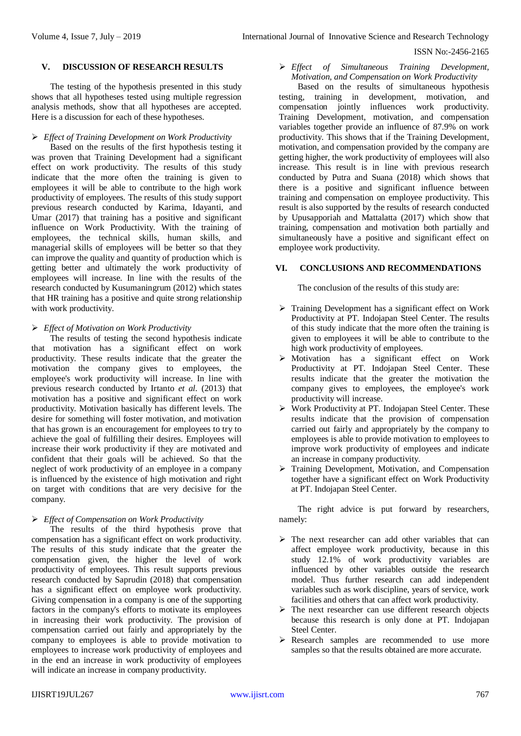#### **V. DISCUSSION OF RESEARCH RESULTS**

The testing of the hypothesis presented in this study shows that all hypotheses tested using multiple regression analysis methods, show that all hypotheses are accepted. Here is a discussion for each of these hypotheses.

### *Effect of Training Development on Work Productivity*

Based on the results of the first hypothesis testing it was proven that Training Development had a significant effect on work productivity. The results of this study indicate that the more often the training is given to employees it will be able to contribute to the high work productivity of employees. The results of this study support previous research conducted by Karima, Idayanti, and Umar (2017) that training has a positive and significant influence on Work Productivity. With the training of employees, the technical skills, human skills, and managerial skills of employees will be better so that they can improve the quality and quantity of production which is getting better and ultimately the work productivity of employees will increase. In line with the results of the research conducted by Kusumaningrum (2012) which states that HR training has a positive and quite strong relationship with work productivity.

## *Effect of Motivation on Work Productivity*

The results of testing the second hypothesis indicate that motivation has a significant effect on work productivity. These results indicate that the greater the motivation the company gives to employees, the employee's work productivity will increase. In line with previous research conducted by Irtanto *et al.* (2013) that motivation has a positive and significant effect on work productivity. Motivation basically has different levels. The desire for something will foster motivation, and motivation that has grown is an encouragement for employees to try to achieve the goal of fulfilling their desires. Employees will increase their work productivity if they are motivated and confident that their goals will be achieved. So that the neglect of work productivity of an employee in a company is influenced by the existence of high motivation and right on target with conditions that are very decisive for the company.

# *Effect of Compensation on Work Productivity*

The results of the third hypothesis prove that compensation has a significant effect on work productivity. The results of this study indicate that the greater the compensation given, the higher the level of work productivity of employees. This result supports previous research conducted by Saprudin (2018) that compensation has a significant effect on employee work productivity. Giving compensation in a company is one of the supporting factors in the company's efforts to motivate its employees in increasing their work productivity. The provision of compensation carried out fairly and appropriately by the company to employees is able to provide motivation to employees to increase work productivity of employees and in the end an increase in work productivity of employees will indicate an increase in company productivity.

 *Effect of Simultaneous Training Development, Motivation, and Compensation on Work Productivity*

Based on the results of simultaneous hypothesis testing, training in development, motivation, and compensation jointly influences work productivity. Training Development, motivation, and compensation variables together provide an influence of 87.9% on work productivity. This shows that if the Training Development, motivation, and compensation provided by the company are getting higher, the work productivity of employees will also increase. This result is in line with previous research conducted by Putra and Suana (2018) which shows that there is a positive and significant influence between training and compensation on employee productivity. This result is also supported by the results of research conducted by Upusapporiah and Mattalatta (2017) which show that training, compensation and motivation both partially and simultaneously have a positive and significant effect on employee work productivity.

### **VI. CONCLUSIONS AND RECOMMENDATIONS**

The conclusion of the results of this study are:

- $\triangleright$  Training Development has a significant effect on Work Productivity at PT. Indojapan Steel Center. The results of this study indicate that the more often the training is given to employees it will be able to contribute to the high work productivity of employees.
- Motivation has a significant effect on Work Productivity at PT. Indojapan Steel Center. These results indicate that the greater the motivation the company gives to employees, the employee's work productivity will increase.
- Work Productivity at PT. Indojapan Steel Center. These results indicate that the provision of compensation carried out fairly and appropriately by the company to employees is able to provide motivation to employees to improve work productivity of employees and indicate an increase in company productivity.
- $\triangleright$  Training Development, Motivation, and Compensation together have a significant effect on Work Productivity at PT. Indojapan Steel Center.

The right advice is put forward by researchers, namely:

- $\triangleright$  The next researcher can add other variables that can affect employee work productivity, because in this study 12.1% of work productivity variables are influenced by other variables outside the research model. Thus further research can add independent variables such as work discipline, years of service, work facilities and others that can affect work productivity.
- > The next researcher can use different research objects because this research is only done at PT. Indojapan Steel Center.
- > Research samples are recommended to use more samples so that the results obtained are more accurate.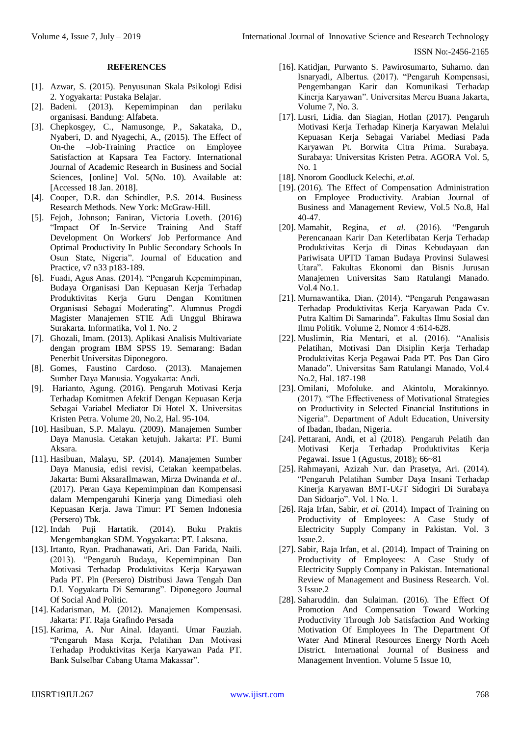#### **REFERENCES**

- [1]. Azwar, S. (2015). Penyusunan Skala Psikologi Edisi 2. Yogyakarta: Pustaka Belajar.
- [2]. Badeni. (2013). Kepemimpinan dan perilaku organisasi. Bandung: Alfabeta.
- [3]. Chepkosgey, C., Namusonge, P., Sakataka, D., Nyaberi, D. and Nyagechi, A., (2015). The Effect of On-the –Job-Training Practice on Employee Satisfaction at Kapsara Tea Factory. International Journal of Academic Research in Business and Social Sciences, [online] Vol. 5(No. 10). Available at: [Accessed 18 Jan. 2018].
- [4]. Cooper, D.R. dan Schindler, P.S. 2014. Business Research Methods. New York: McGraw-Hill.
- [5]. Fejoh, Johnson; Faniran, Victoria Loveth. (2016) "Impact Of In-Service Training And Staff Development On Workers' Job Performance And Optimal Productivity In Public Secondary Schools In Osun State, Nigeria". Journal of Education and Practice, v7 n33 p183-189.
- [6]. Fuadi, Agus Anas. (2014). "Pengaruh Kepemimpinan, Budaya Organisasi Dan Kepuasan Kerja Terhadap Produktivitas Kerja Guru Dengan Komitmen Organisasi Sebagai Moderating". Alumnus Progdi Magister Manajemen STIE Adi Unggul Bhirawa Surakarta. Informatika, Vol 1. No. 2
- [7]. Ghozali, Imam. (2013). Aplikasi Analisis Multivariate dengan program IBM SPSS 19. Semarang: Badan Penerbit Universitas Diponegoro.
- [8]. Gomes, Faustino Cardoso. (2013). Manajemen Sumber Daya Manusia. Yogyakarta: Andi.
- [9]. Harianto, Agung. (2016). Pengaruh Motivasi Kerja Terhadap Komitmen Afektif Dengan Kepuasan Kerja Sebagai Variabel Mediator Di Hotel X. Universitas Kristen Petra. Volume 20, No.2, Hal. 95-104.
- [10]. Hasibuan, S.P. Malayu. (2009). Manajemen Sumber Daya Manusia. Cetakan ketujuh. Jakarta: PT. Bumi Aksara.
- [11]. Hasibuan, Malayu, SP. (2014). Manajemen Sumber Daya Manusia, edisi revisi, Cetakan keempatbelas. Jakarta: Bumi AksaraIlmawan, Mirza Dwinanda *et al.*. (2017). Peran Gaya Kepemimpinan dan Kompensasi dalam Mempengaruhi Kinerja yang Dimediasi oleh Kepuasan Kerja. Jawa Timur: PT Semen Indonesia (Persero) Tbk.
- [12]. Indah Puji Hartatik. (2014). Buku Praktis Mengembangkan SDM. Yogyakarta: PT. Laksana.
- [13]. Irtanto, Ryan. Pradhanawati, Ari. Dan Farida, Naili. (2013). "Pengaruh Budaya, Kepemimpinan Dan Motivasi Terhadap Produktivitas Kerja Karyawan Pada PT. Pln (Persero) Distribusi Jawa Tengah Dan D.I. Yogyakarta Di Semarang". Diponegoro Journal Of Social And Politic.
- [14]. Kadarisman, M. (2012). Manajemen Kompensasi. Jakarta: PT. Raja Grafindo Persada
- [15]. Karima, A. Nur Ainal. Idayanti. Umar Fauziah. "Pengaruh Masa Kerja, Pelatihan Dan Motivasi Terhadap Produktivitas Kerja Karyawan Pada PT. Bank Sulselbar Cabang Utama Makassar".
- [16]. Katidjan, Purwanto S. Pawirosumarto, Suharno. dan Isnaryadi, Albertus. (2017). "Pengaruh Kompensasi, Pengembangan Karir dan Komunikasi Terhadap Kinerja Karyawan". Universitas Mercu Buana Jakarta, Volume 7, No. 3.
- [17]. Lusri, Lidia. dan Siagian, Hotlan (2017). Pengaruh Motivasi Kerja Terhadap Kinerja Karyawan Melalui Kepuasan Kerja Sebagai Variabel Mediasi Pada Karyawan Pt. Borwita Citra Prima. Surabaya. Surabaya: Universitas Kristen Petra. AGORA Vol. 5, No. 1
- [18]. Nnorom Goodluck Kelechi, *et.al.*
- [19]. (2016). The Effect of Compensation Administration on Employee Productivity. Arabian Journal of Business and Management Review, Vol.5 No.8, Hal 40-47.
- [20]. Mamahit, Regina, *et al.* (2016). "Pengaruh Perencanaan Karir Dan Keterlibatan Kerja Terhadap Produktivitas Kerja di Dinas Kebudayaan dan Pariwisata UPTD Taman Budaya Provinsi Sulawesi Utara". Fakultas Ekonomi dan Bisnis Jurusan Manajemen Universitas Sam Ratulangi Manado. Vol.4 No.1.
- [21]. Murnawantika, Dian. (2014). "Pengaruh Pengawasan Terhadap Produktivitas Kerja Karyawan Pada Cv. Putra Kaltim Di Samarinda". Fakultas Ilmu Sosial dan Ilmu Politik. Volume 2, Nomor 4 :614-628.
- [22]. Muslimin, Ria Mentari, et al. (2016). "Analisis Pelatihan, Motivasi Dan Disiplin Kerja Terhadap Produktivitas Kerja Pegawai Pada PT. Pos Dan Giro Manado". Universitas Sam Ratulangi Manado, Vol.4 No.2, Hal. 187-198
- [23]. Omilani, Mofoluke. and Akintolu, Morakinnyo. (2017). "The Effectiveness of Motivational Strategies on Productivity in Selected Financial Institutions in Nigeria". Department of Adult Education, University of Ibadan, Ibadan, Nigeria.
- [24]. Pettarani, Andi, et al (2018). Pengaruh Pelatih dan Motivasi Kerja Terhadap Produktivitas Kerja Pegawai. Issue 1 (Agustus, 2018); 66~81
- [25]. Rahmayani, Azizah Nur. dan Prasetya, Ari. (2014). "Pengaruh Pelatihan Sumber Daya Insani Terhadap Kinerja Karyawan BMT-UGT Sidogiri Di Surabaya Dan Sidoarjo". Vol. 1 No. 1.
- [26]. Raja Irfan, Sabir, *et al.* (2014). Impact of Training on Productivity of Employees: A Case Study of Electricity Supply Company in Pakistan. Vol. 3 Issue.2.
- [27]. Sabir, Raja Irfan, et al. (2014). Impact of Training on Productivity of Employees: A Case Study of Electricity Supply Company in Pakistan. International Review of Management and Business Research. Vol. 3 Issue.2
- [28]. Saharuddin. dan Sulaiman. (2016). The Effect Of Promotion And Compensation Toward Working Productivity Through Job Satisfaction And Working Motivation Of Employees In The Department Of Water And Mineral Resources Energy North Aceh District. International Journal of Business and Management Invention. Volume 5 Issue 10,